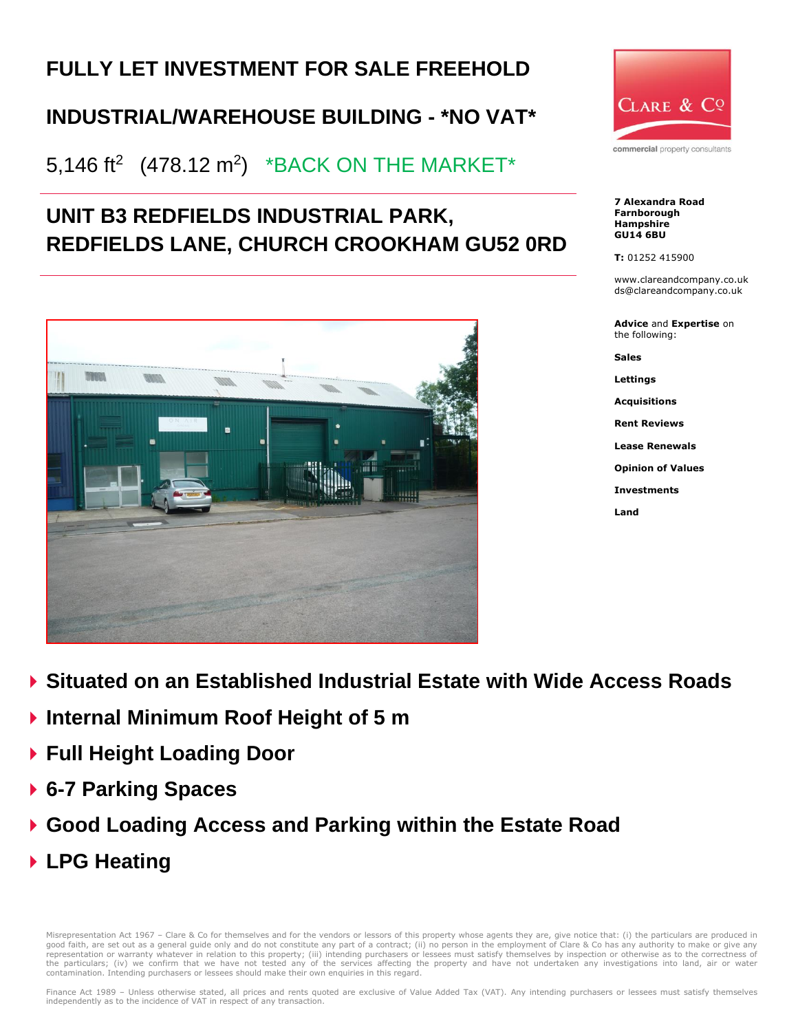# **FULLY LET INVESTMENT FOR SALE FREEHOLD**

## **INDUSTRIAL/WAREHOUSE BUILDING - \*NO VAT\***

## 5,146 ft $^2$  (478.12 m $^2$ )  $\,$  \*BACK ON THE MARKET\*

## **UNIT B3 REDFIELDS INDUSTRIAL PARK, REDFIELDS LANE, CHURCH CROOKHAM GU52 0RD**





commercial property consultants

**7 Alexandra Road Farnborough Hampshire GU14 6BU**

**T:** 01252 415900

www.clareandcompany.co.uk ds@clareandcompany.co.uk

**Advice** and **Expertise** on the following:

**Sales**

**Lettings**

**Acquisitions**

**Rent Reviews**

**Lease Renewals**

**Opinion of Values**

**Investments**

**Land**

- **Situated on an Established Industrial Estate with Wide Access Roads**
- **Internal Minimum Roof Height of 5 m**
- **Full Height Loading Door**
- **6-7 Parking Spaces**
- **Good Loading Access and Parking within the Estate Road**
- **LPG Heating**

Misrepresentation Act 1967 - Clare & Co for themselves and for the vendors or lessors of this property whose agents they are, give notice that: (i) the particulars are produced in good faith, are set out as a general guide only and do not constitute any part of a contract; (ii) no person in the employment of Clare & Co has any authority to make or give any<br>representation or warranty whatever in rela the particulars; (iv) we confirm that we have not tested any of the services affecting the property and have not undertaken any investigations into land, air or water contamination. Intending purchasers or lessees should make their own enquiries in this regard.

Finance Act 1989 – Unless otherwise stated, all prices and rents quoted are exclusive of Value Added Tax (VAT). Any intending purchasers or lessees must satisfy themselves independently as to the incidence of VAT in respect of any transaction.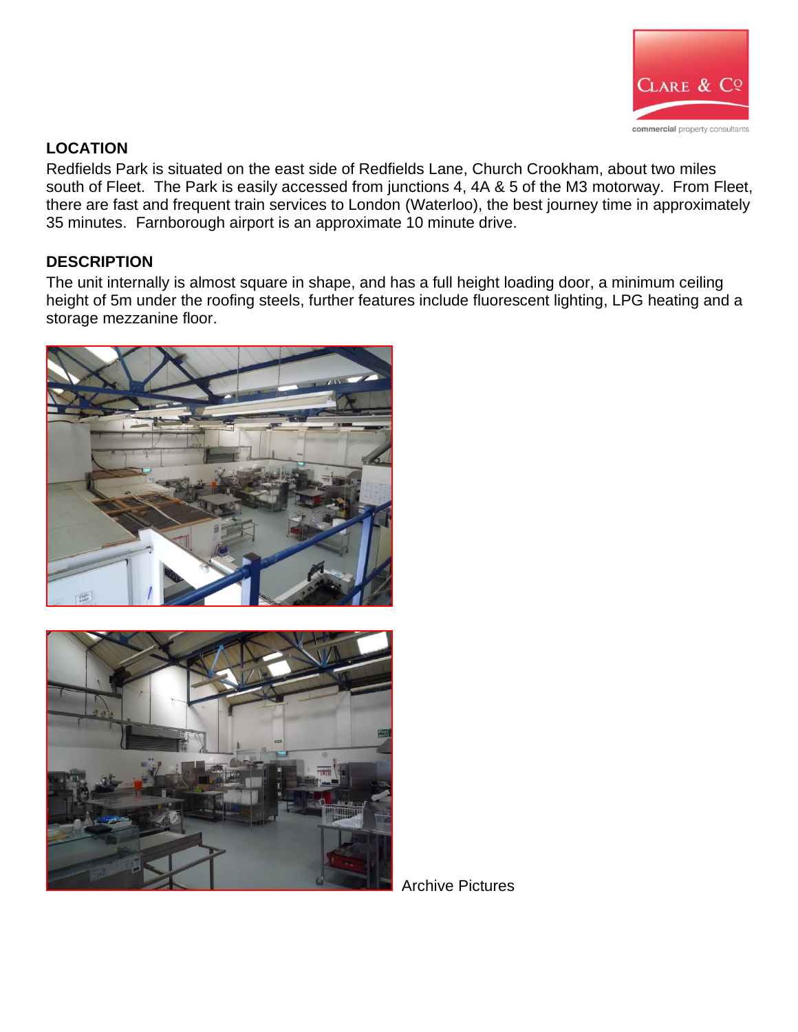

## **LOCATION**

Redfields Park is situated on the east side of Redfields Lane, Church Crookham, about two miles south of Fleet. The Park is easily accessed from junctions 4, 4A & 5 of the M3 motorway. From Fleet, there are fast and frequent train services to London (Waterloo), the best journey time in approximately 35 minutes. Farnborough airport is an approximate 10 minute drive.

## **DESCRIPTION**

The unit internally is almost square in shape, and has a full height loading door, a minimum ceiling height of 5m under the roofing steels, further features include fluorescent lighting, LPG heating and a storage mezzanine floor.





Archive Pictures